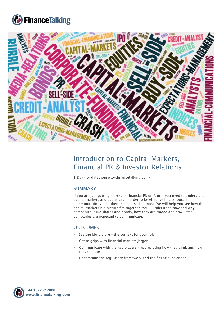



# Introduction to Capital Markets, Financial PR & Investor Relations

1 Day (for dates see www.financetalking.com)

# SUMMARY

If you are just getting started in financial PR or IR or if you need to understand capital markets and audiences in order to be effective in a corporate communications role, then this course is a must. We will help you see how the capital markets big picture fits together. You'll understand how and why companies issue shares and bonds, how they are traded and how listed companies are expected to communicate.

# **OUTCOMES**

- See the big picture the context for your role
- Get to grips with financial markets jargon
- Communicate with the key players appreciating how they think and how they operate
- Understand the regulatory framework and the financial calendar

![](_page_0_Picture_11.jpeg)